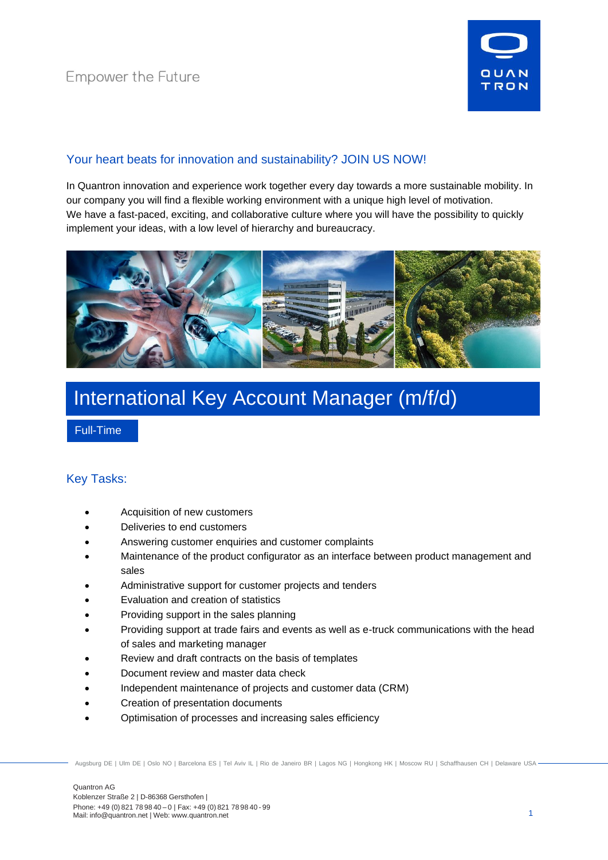

## Your heart beats for innovation and sustainability? JOIN US NOW!

In Quantron innovation and experience work together every day towards a more sustainable mobility. In our company you will find a flexible working environment with a unique high level of motivation. We have a fast-paced, exciting, and collaborative culture where you will have the possibility to quickly implement your ideas, with a low level of hierarchy and bureaucracy.



# International Key Account Manager (m/f/d)

Full-Time

## Key Tasks:

- Acquisition of new customers
- Deliveries to end customers
- Answering customer enquiries and customer complaints
- Maintenance of the product configurator as an interface between product management and sales
- Administrative support for customer projects and tenders
- Evaluation and creation of statistics
- Providing support in the sales planning
- Providing support at trade fairs and events as well as e-truck communications with the head of sales and marketing manager
- Review and draft contracts on the basis of templates
- Document review and master data check
- Independent maintenance of projects and customer data (CRM)
- Creation of presentation documents
- Optimisation of processes and increasing sales efficiency

Augsburg DE | Ulm DE | Oslo NO | Barcelona ES | Tel Aviv IL | Rio de Janeiro BR | Lagos NG | Hongkong HK | Moscow RU | Schaffhausen CH | Delaware USA